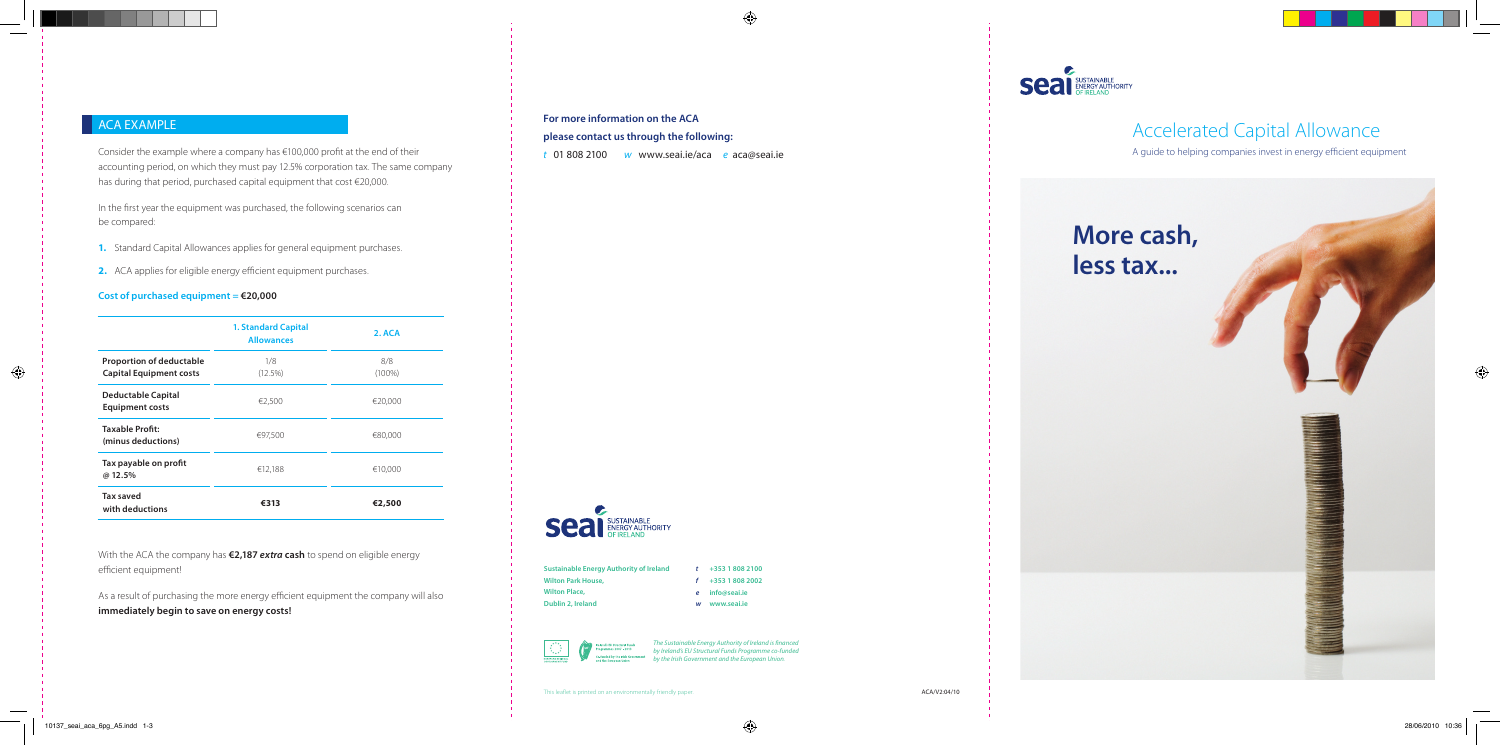Consider the example where a company has €100,000 profit at the end of their accounting period, on which they must pay 12.5% corporation tax. The same company has during that period, purchased capital equipment that cost €20,000.

In the first year the equipment was purchased, the following scenarios can be compared:

- **1.** Standard Capital Allowances applies for general equipment purchases.
- **2.** ACA applies for eligible energy efficient equipment purchases.

#### **Cost of purchased equipment = €20,000**

With the ACA the company has **€2,187** *extra* **cash** to spend on eligible energy efficient equipment!

As a result of purchasing the more energy efficient equipment the company will also **immediately begin to save on energy costs!**

# Accelerated Capital Allowance

A guide to helping companies invest in energy efficient equipment

|                                                                   | <b>1. Standard Capital</b><br><b>Allowances</b> | 2. ACA           |
|-------------------------------------------------------------------|-------------------------------------------------|------------------|
| <b>Proportion of deductable</b><br><b>Capital Equipment costs</b> | 1/8<br>(12.5%)                                  | 8/8<br>$(100\%)$ |
| <b>Deductable Capital</b><br><b>Equipment costs</b>               | €2,500                                          | €20,000          |
| Taxable Profit:<br>(minus deductions)                             | €97.500                                         | €80,000          |
| Tax payable on profit<br>@ 12.5%                                  | €12,188                                         | €10,000          |
| <b>Tax saved</b><br>with deductions                               | €313                                            | €2,500           |



### **For more information on the ACA**

#### **please contact us through the following:**

*t* 01 808 2100 *w* www.seai.ie/aca *e* aca@seai.ie

 $\bigoplus$ 



| <b>Sustainable Energy Authority of Ireland</b> |
|------------------------------------------------|
| <b>Wilton Park House,</b>                      |
| <b>Wilton Place,</b>                           |
| Dublin 2, Ireland                              |

*t* **+353 1 808 2100** *f* **+353 1 808 2002** *e* **info@seai.ie**

*w* **www.seai.ie**



The Sustainable Energy Authority of Ireland is financed by Ireland's EU Structural Funds Programme co-funded ent and the European

This leaflet is printed on an environmentally friendly paper.

 $\bigcirc$ 



 $\bigoplus$